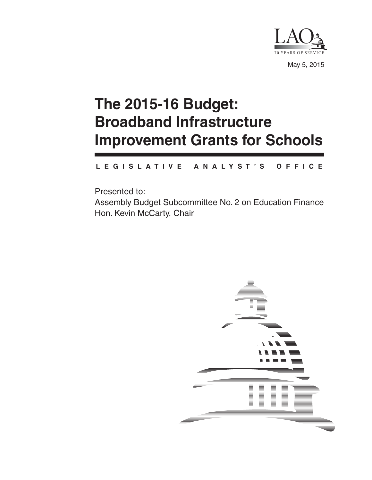

May 5, 2015

# **The 2015-16 Budget: Broadband Infrastructure Improvement Grants for Schools**

#### **L E G I S L A T I V E A N A L Y S T ' S O F F I C E**

Presented to: Assembly Budget Subcommittee No. 2 on Education Finance Hon. Kevin McCarty, Chair

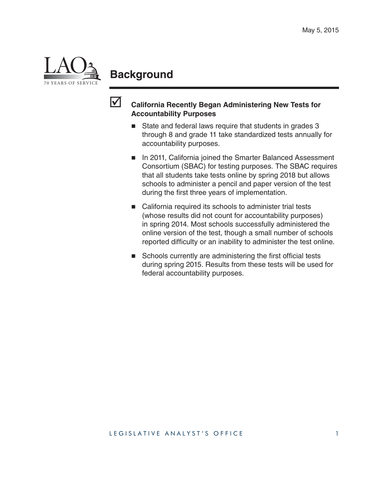

### **Background**



### **California Recently Began Administering New Tests for Accountability Purposes**

- State and federal laws require that students in grades 3 through 8 and grade 11 take standardized tests annually for accountability purposes.
- In 2011, California joined the Smarter Balanced Assessment Consortium (SBAC) for testing purposes. The SBAC requires that all students take tests online by spring 2018 but allows schools to administer a pencil and paper version of the test during the first three years of implementation.
- California required its schools to administer trial tests (whose results did not count for accountability purposes) in spring 2014. Most schools successfully administered the online version of the test, though a small number of schools reported difficulty or an inability to administer the test online.
- $\blacksquare$  Schools currently are administering the first official tests during spring 2015. Results from these tests will be used for federal accountability purposes.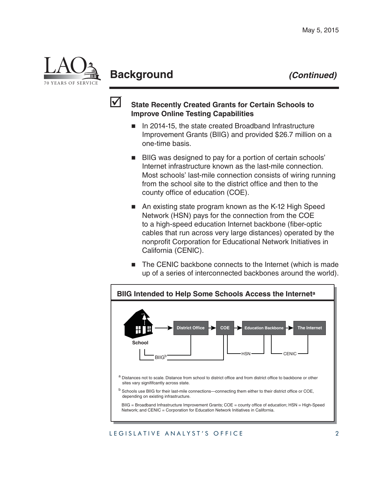

# **Background** *(Continued)*



#### **State Recently Created Grants for Certain Schools to Improve Online Testing Capabilities**

- In 2014-15, the state created Broadband Infrastructure Improvement Grants (BIIG) and provided \$26.7 million on a one-time basis.
- BIIG was designed to pay for a portion of certain schools' Internet infrastructure known as the last-mile connection. Most schools' last-mile connection consists of wiring running from the school site to the district office and then to the county office of education (COE).
- An existing state program known as the K-12 High Speed Network (HSN) pays for the connection from the COE to a high-speed education Internet backbone (fiber-optic cables that run across very large distances) operated by the nonprofit Corporation for Educational Network Initiatives in California (CENIC).
- The CENIC backbone connects to the Internet (which is made up of a series of interconnected backbones around the world).



#### LEGISLATIVE ANALYST'S OFFICE 2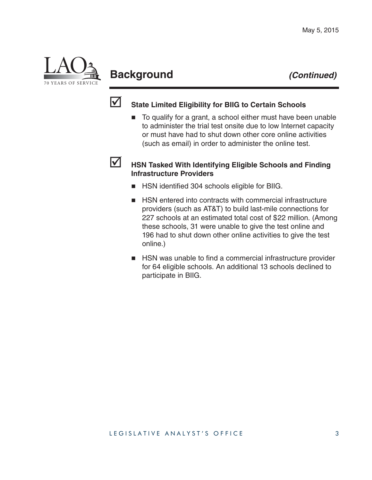

# **Background** *(Continued)*



### **State Limited Eligibility for BIIG to Certain Schools**

■ To qualify for a grant, a school either must have been unable to administer the trial test onsite due to low Internet capacity or must have had to shut down other core online activities (such as email) in order to administer the online test.

### **HSN Tasked With Identifying Eligible Schools and Finding Infrastructure Providers**

- HSN identified 304 schools eligible for BIIG.
- HSN entered into contracts with commercial infrastructure providers (such as AT&T) to build last-mile connections for 227 schools at an estimated total cost of \$22 million. (Among these schools, 31 were unable to give the test online and 196 had to shut down other online activities to give the test online.)
- HSN was unable to find a commercial infrastructure provider for 64 eligible schools. An additional 13 schools declined to participate in BIIG.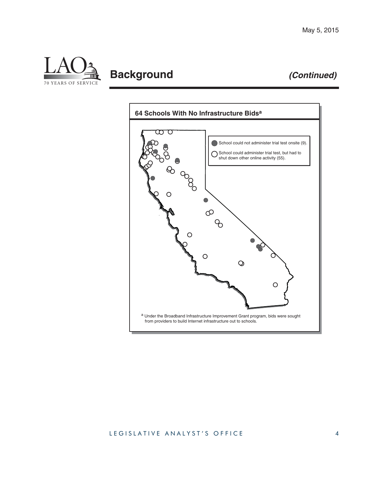

# **Background** *(Continued)*



#### LEGISLATIVE ANALYST'S OFFICE 4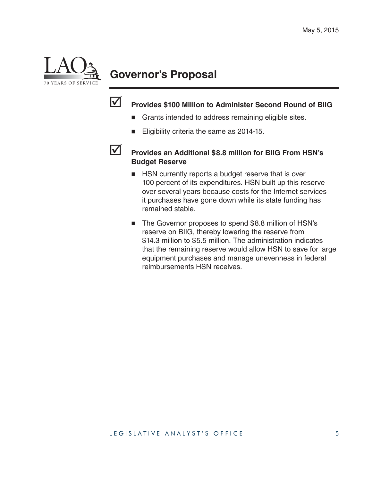

# **Governor's Proposal**



### **Provides \$100 Million to Administer Second Round of BIIG**

- Grants intended to address remaining eligible sites.
- Eligibility criteria the same as 2014-15.



#### **Provides an Additional \$8.8 million for BIIG From HSN's Budget Reserve**

- **HSN** currently reports a budget reserve that is over 100 percent of its expenditures. HSN built up this reserve over several years because costs for the Internet services it purchases have gone down while its state funding has remained stable.
- The Governor proposes to spend \$8.8 million of HSN's reserve on BIIG, thereby lowering the reserve from \$14.3 million to \$5.5 million. The administration indicates that the remaining reserve would allow HSN to save for large equipment purchases and manage unevenness in federal reimbursements HSN receives.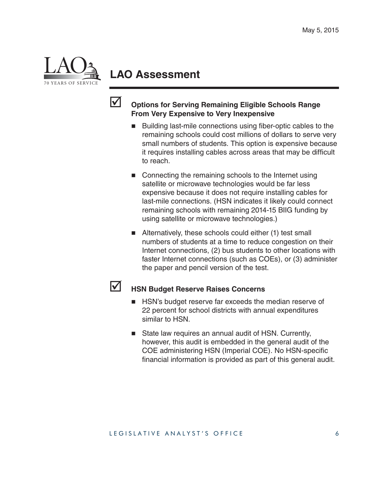

### **LAO Assessment**



### **Options for Serving Remaining Eligible Schools Range From Very Expensive to Very Inexpensive**

- $\blacksquare$  Building last-mile connections using fiber-optic cables to the remaining schools could cost millions of dollars to serve very small numbers of students. This option is expensive because it requires installing cables across areas that may be difficult to reach.
- Connecting the remaining schools to the Internet using satellite or microwave technologies would be far less expensive because it does not require installing cables for last-mile connections. (HSN indicates it likely could connect remaining schools with remaining 2014-15 BIIG funding by using satellite or microwave technologies.)
- Alternatively, these schools could either (1) test small numbers of students at a time to reduce congestion on their Internet connections, (2) bus students to other locations with faster Internet connections (such as COEs), or (3) administer the paper and pencil version of the test.



### **HSN Budget Reserve Raises Concerns**

- **HSN's budget reserve far exceeds the median reserve of** 22 percent for school districts with annual expenditures similar to HSN.
- State law requires an annual audit of HSN. Currently, however, this audit is embedded in the general audit of the COE administering HSN (Imperial COE). No HSN-specific financial information is provided as part of this general audit.